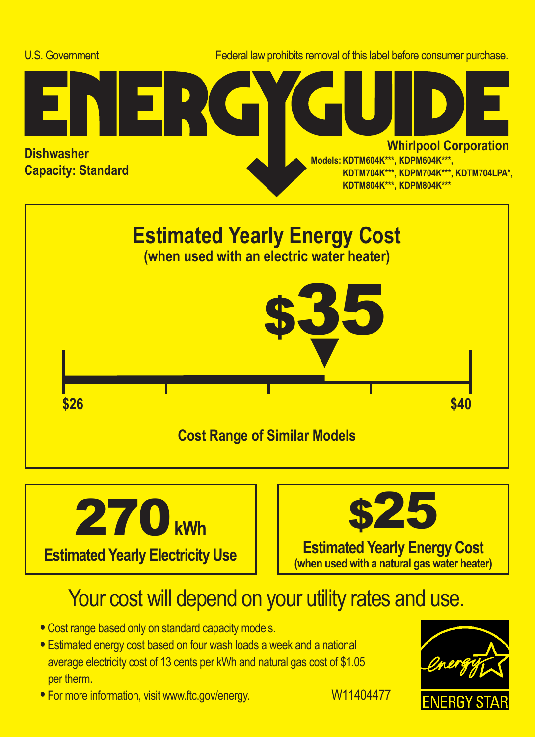





## Your cost will depend on your utility rates and use.

- **•** Cost range based only on standard capacity models.
- **•** Estimated energy cost based on four wash loads a week and a national average electricity cost of 13 cents per kWh and natural gas cost of \$1.05 per therm.
- For more information, visit www.ftc.gov/energy. W11404477